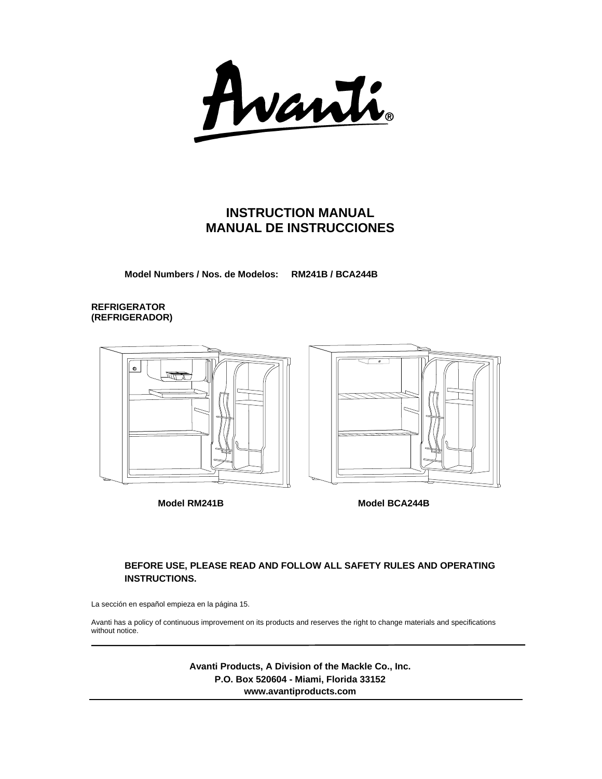Avanti

### **INSTRUCTION MANUAL MANUAL DE INSTRUCCIONES**

**Model Numbers / Nos. de Modelos: RM241B / BCA244B** 

**REFRIGERATOR (REFRIGERADOR)** 



Model RM241B Model BCA244B

### **BEFORE USE, PLEASE READ AND FOLLOW ALL SAFETY RULES AND OPERATING INSTRUCTIONS.**

La sección en español empieza en la página 15.

Avanti has a policy of continuous improvement on its products and reserves the right to change materials and specifications without notice.

> **Avanti Products, A Division of the Mackle Co., Inc. P.O. Box 520604 - Miami, Florida 33152 www.avantiproducts.com**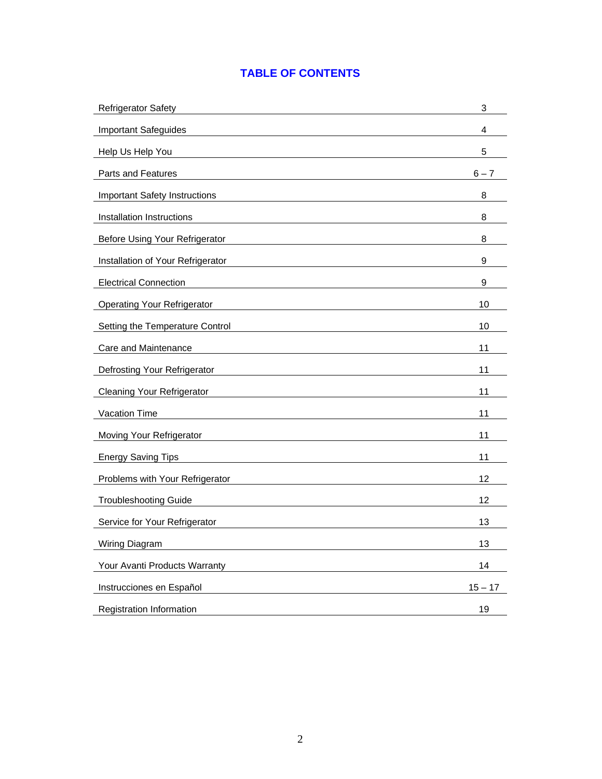### **TABLE OF CONTENTS**

| Refrigerator Safety                  | 3         |
|--------------------------------------|-----------|
| <b>Important Safeguides</b>          | 4         |
| Help Us Help You                     | 5         |
| Parts and Features                   | $6 - 7$   |
| <b>Important Safety Instructions</b> | 8         |
| Installation Instructions            | 8         |
| Before Using Your Refrigerator       | 8         |
| Installation of Your Refrigerator    | 9         |
| <b>Electrical Connection</b>         | 9         |
| <b>Operating Your Refrigerator</b>   | 10        |
| Setting the Temperature Control      | 10        |
| Care and Maintenance                 | 11        |
| Defrosting Your Refrigerator         | 11        |
| <b>Cleaning Your Refrigerator</b>    | 11        |
| Vacation Time                        | 11        |
| Moving Your Refrigerator             | 11        |
| <b>Energy Saving Tips</b>            | 11        |
| Problems with Your Refrigerator      | 12        |
| <b>Troubleshooting Guide</b>         | 12        |
| Service for Your Refrigerator        | 13        |
| Wiring Diagram                       | 13        |
| Your Avanti Products Warranty        | 14        |
| Instrucciones en Español             | $15 - 17$ |
| <b>Registration Information</b>      | 19        |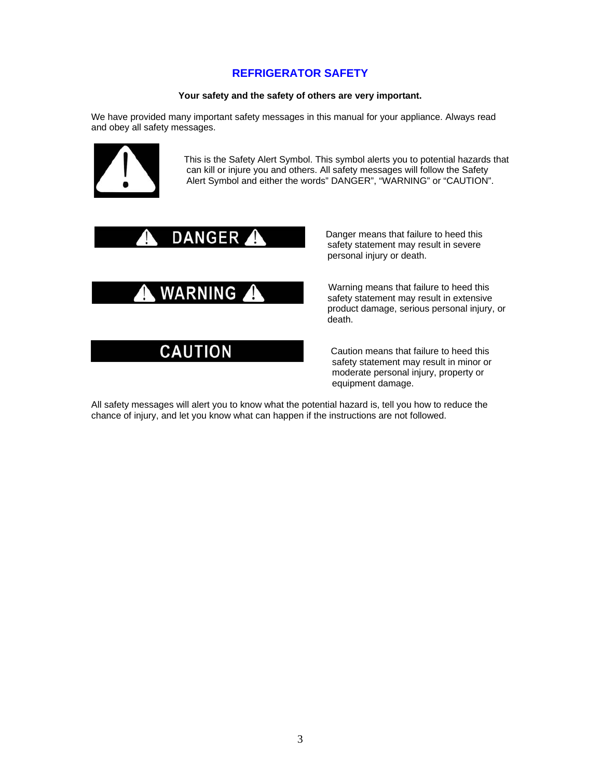### **REFRIGERATOR SAFETY**

#### **Your safety and the safety of others are very important.**

We have provided many important safety messages in this manual for your appliance. Always read and obey all safety messages.



 This is the Safety Alert Symbol. This symbol alerts you to potential hazards that can kill or injure you and others. All safety messages will follow the Safety Alert Symbol and either the words" DANGER", "WARNING" or "CAUTION".



DANGER 1 Danger means that failure to heed this safety statement may result in severe personal injury or death.

WARNING NET Warning means that failure to heed this safety statement may result in extensive product damage, serious personal injury, or death.

CAUTION Caution means that failure to heed this safety statement may result in minor or moderate personal injury, property or equipment damage.

All safety messages will alert you to know what the potential hazard is, tell you how to reduce the chance of injury, and let you know what can happen if the instructions are not followed.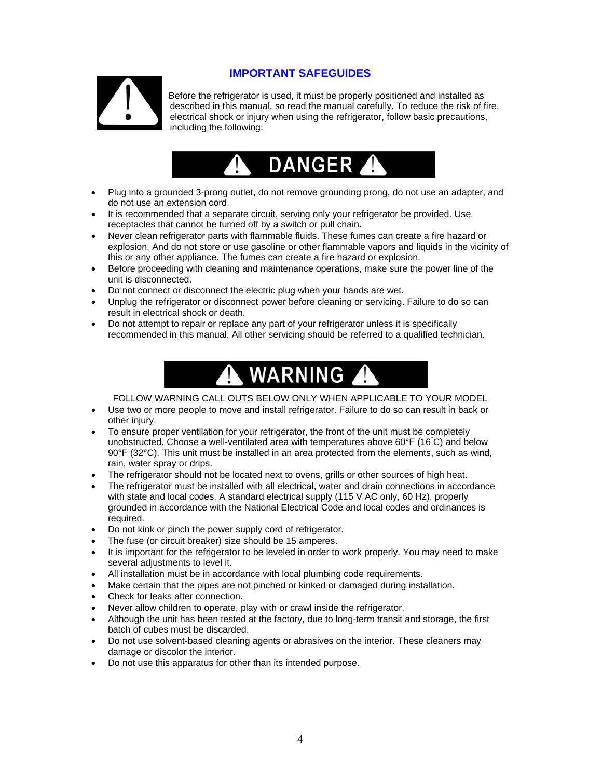

### **IMPORTANT SAFEGUIDES**

 Before the refrigerator is used, it must be properly positioned and installed as described in this manual, so read the manual carefully. To reduce the risk of fire, electrical shock or injury when using the refrigerator, follow basic precautions, including the following:



- Plug into a grounded 3-prong outlet, do not remove grounding prong, do not use an adapter, and do not use an extension cord.
- It is recommended that a separate circuit, serving only your refrigerator be provided. Use receptacles that cannot be turned off by a switch or pull chain.
- Never clean refrigerator parts with flammable fluids. These fumes can create a fire hazard or explosion. And do not store or use gasoline or other flammable vapors and liquids in the vicinity of this or any other appliance. The fumes can create a fire hazard or explosion.
- Before proceeding with cleaning and maintenance operations, make sure the power line of the unit is disconnected.
- Do not connect or disconnect the electric plug when your hands are wet.
- Unplug the refrigerator or disconnect power before cleaning or servicing. Failure to do so can result in electrical shock or death.
- Do not attempt to repair or replace any part of your refrigerator unless it is specifically recommended in this manual. All other servicing should be referred to a qualified technician.

# **WARNING**

FOLLOW WARNING CALL OUTS BELOW ONLY WHEN APPLICABLE TO YOUR MODEL

- Use two or more people to move and install refrigerator. Failure to do so can result in back or other injury.
- To ensure proper ventilation for your refrigerator, the front of the unit must be completely unobstructed. Choose a well-ventilated area with temperatures above 60°F (16° C) and below 90°F (32°C). This unit must be installed in an area protected from the elements, such as wind, rain, water spray or drips.
- The refrigerator should not be located next to ovens, grills or other sources of high heat.
- The refrigerator must be installed with all electrical, water and drain connections in accordance with state and local codes. A standard electrical supply (115 V AC only, 60 Hz), properly grounded in accordance with the National Electrical Code and local codes and ordinances is required.
- Do not kink or pinch the power supply cord of refrigerator.
- The fuse (or circuit breaker) size should be 15 amperes.
- It is important for the refrigerator to be leveled in order to work properly. You may need to make several adjustments to level it.
- All installation must be in accordance with local plumbing code requirements.
- Make certain that the pipes are not pinched or kinked or damaged during installation.
- Check for leaks after connection.
- Never allow children to operate, play with or crawl inside the refrigerator.
- Although the unit has been tested at the factory, due to long-term transit and storage, the first batch of cubes must be discarded.
- Do not use solvent-based cleaning agents or abrasives on the interior. These cleaners may damage or discolor the interior.
- Do not use this apparatus for other than its intended purpose.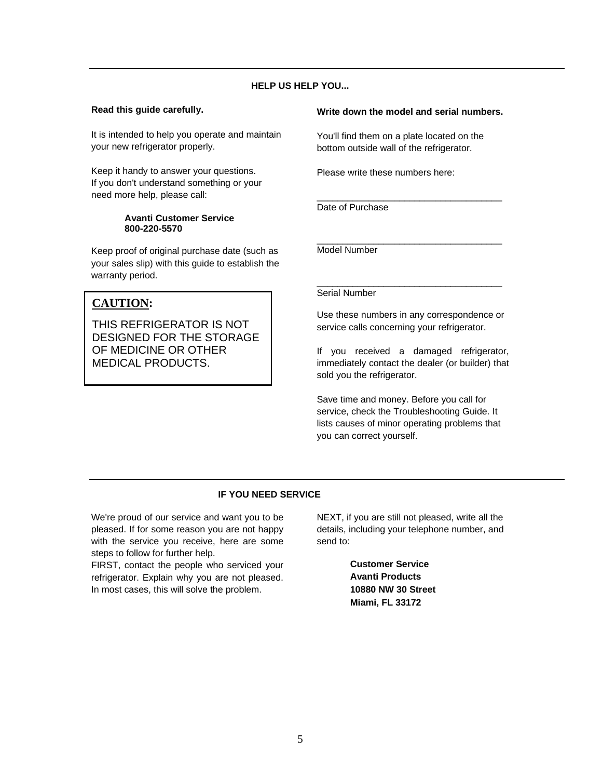#### **HELP US HELP YOU...**

#### **Read this guide carefully.**

It is intended to help you operate and maintain your new refrigerator properly.

Keep it handy to answer your questions. If you don't understand something or your need more help, please call:

#### **Avanti Customer Service 800-220-5570**

Keep proof of original purchase date (such as your sales slip) with this guide to establish the warranty period.

### **CAUTION:**

THIS REFRIGERATOR IS NOT DESIGNED FOR THE STORAGE OF MEDICINE OR OTHER MEDICAL PRODUCTS.

#### **Write down the model and serial numbers.**

\_\_\_\_\_\_\_\_\_\_\_\_\_\_\_\_\_\_\_\_\_\_\_\_\_\_\_\_\_\_\_\_\_\_\_\_

You'll find them on a plate located on the bottom outside wall of the refrigerator.

Please write these numbers here:

Date of Purchase

\_\_\_\_\_\_\_\_\_\_\_\_\_\_\_\_\_\_\_\_\_\_\_\_\_\_\_\_\_\_\_\_\_\_\_\_ Model Number

#### Serial Number

Use these numbers in any correspondence or service calls concerning your refrigerator.

\_\_\_\_\_\_\_\_\_\_\_\_\_\_\_\_\_\_\_\_\_\_\_\_\_\_\_\_\_\_\_\_\_\_\_\_

If you received a damaged refrigerator, immediately contact the dealer (or builder) that sold you the refrigerator.

Save time and money. Before you call for service, check the Troubleshooting Guide. It lists causes of minor operating problems that you can correct yourself.

#### **IF YOU NEED SERVICE**

We're proud of our service and want you to be pleased. If for some reason you are not happy with the service you receive, here are some steps to follow for further help.

FIRST, contact the people who serviced your refrigerator. Explain why you are not pleased. In most cases, this will solve the problem.

NEXT, if you are still not pleased, write all the details, including your telephone number, and send to:

> **Customer Service Avanti Products 10880 NW 30 Street Miami, FL 33172**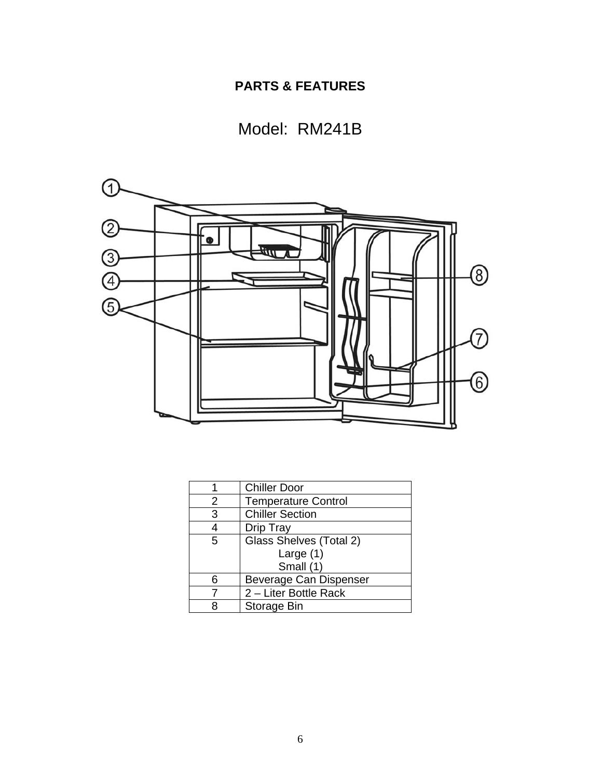### **PARTS & FEATURES**

Model: RM241B



|   | <b>Chiller Door</b>        |
|---|----------------------------|
| 2 | <b>Temperature Control</b> |
| 3 | <b>Chiller Section</b>     |
|   | Drip Tray                  |
| 5 | Glass Shelves (Total 2)    |
|   | Large $(1)$                |
|   | Small (1)                  |
| 6 | Beverage Can Dispenser     |
|   | 2 - Liter Bottle Rack      |
| Я | Storage Bin                |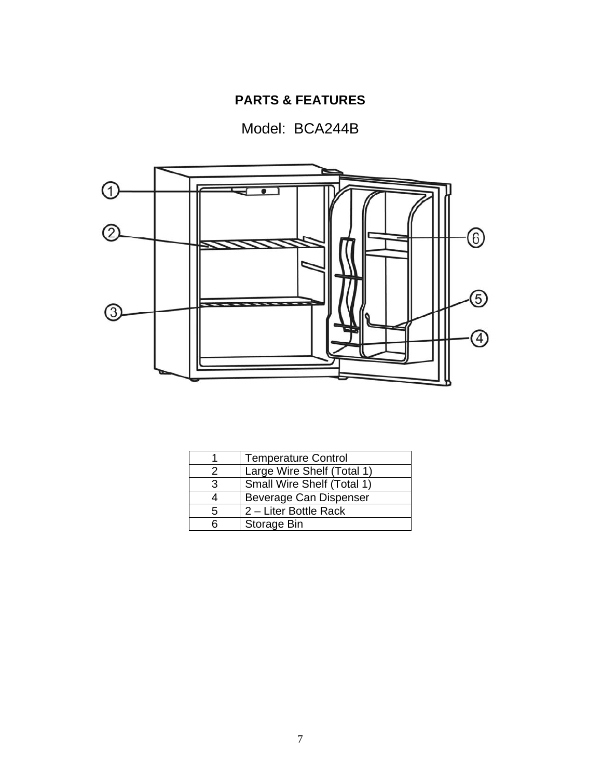## **PARTS & FEATURES**

Model: BCA244B



|    | <b>Temperature Control</b> |
|----|----------------------------|
| 2  | Large Wire Shelf (Total 1) |
| 3  | Small Wire Shelf (Total 1) |
|    | Beverage Can Dispenser     |
| 5  | 2 - Liter Bottle Rack      |
| ่ค | Storage Bin                |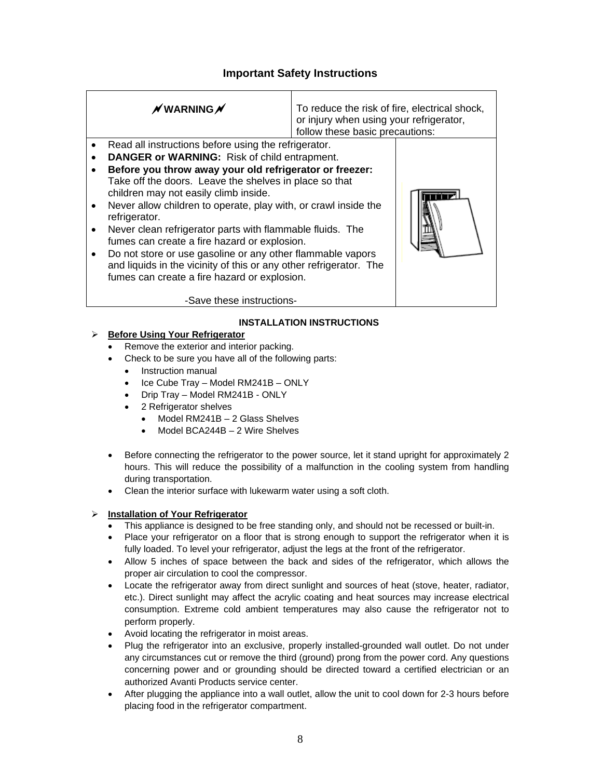### **Important Safety Instructions**

|                        | $N$ WARNING                                                                                                                                                                                                                                                                                                                                                                                                                                                                                                                                                                  | To reduce the risk of fire, electrical shock,<br>or injury when using your refrigerator,<br>follow these basic precautions: |  |  |
|------------------------|------------------------------------------------------------------------------------------------------------------------------------------------------------------------------------------------------------------------------------------------------------------------------------------------------------------------------------------------------------------------------------------------------------------------------------------------------------------------------------------------------------------------------------------------------------------------------|-----------------------------------------------------------------------------------------------------------------------------|--|--|
| ٠                      | Read all instructions before using the refrigerator.                                                                                                                                                                                                                                                                                                                                                                                                                                                                                                                         |                                                                                                                             |  |  |
|                        | DANGER or WARNING: Risk of child entrapment.                                                                                                                                                                                                                                                                                                                                                                                                                                                                                                                                 |                                                                                                                             |  |  |
| $\bullet$<br>$\bullet$ | Before you throw away your old refrigerator or freezer:<br>Take off the doors. Leave the shelves in place so that<br>children may not easily climb inside.<br>Never allow children to operate, play with, or crawl inside the<br>refrigerator.<br>Never clean refrigerator parts with flammable fluids. The<br>fumes can create a fire hazard or explosion.<br>Do not store or use gasoline or any other flammable vapors<br>and liquids in the vicinity of this or any other refrigerator. The<br>fumes can create a fire hazard or explosion.<br>-Save these instructions- |                                                                                                                             |  |  |
|                        |                                                                                                                                                                                                                                                                                                                                                                                                                                                                                                                                                                              |                                                                                                                             |  |  |
|                        | <b>INSTALLATION INSTRUCTIONS</b>                                                                                                                                                                                                                                                                                                                                                                                                                                                                                                                                             |                                                                                                                             |  |  |

#### **Before Using Your Refrigerator**

- Remove the exterior and interior packing.
- Check to be sure you have all of the following parts:
	- Instruction manual
	- $\bullet$  Ice Cube Tray Model RM241B ONLY
	- Drip Tray Model RM241B ONLY
	- 2 Refrigerator shelves
		- Model RM241B 2 Glass Shelves
		- Model BCA244B 2 Wire Shelves
- Before connecting the refrigerator to the power source, let it stand upright for approximately 2 hours. This will reduce the possibility of a malfunction in the cooling system from handling during transportation.
- Clean the interior surface with lukewarm water using a soft cloth.

#### **Installation of Your Refrigerator**

- This appliance is designed to be free standing only, and should not be recessed or built-in.
- Place your refrigerator on a floor that is strong enough to support the refrigerator when it is fully loaded. To level your refrigerator, adjust the legs at the front of the refrigerator.
- Allow 5 inches of space between the back and sides of the refrigerator, which allows the proper air circulation to cool the compressor.
- Locate the refrigerator away from direct sunlight and sources of heat (stove, heater, radiator, etc.). Direct sunlight may affect the acrylic coating and heat sources may increase electrical consumption. Extreme cold ambient temperatures may also cause the refrigerator not to perform properly.
- Avoid locating the refrigerator in moist areas.
- Plug the refrigerator into an exclusive, properly installed-grounded wall outlet. Do not under any circumstances cut or remove the third (ground) prong from the power cord. Any questions concerning power and or grounding should be directed toward a certified electrician or an authorized Avanti Products service center.
- After plugging the appliance into a wall outlet, allow the unit to cool down for 2-3 hours before placing food in the refrigerator compartment.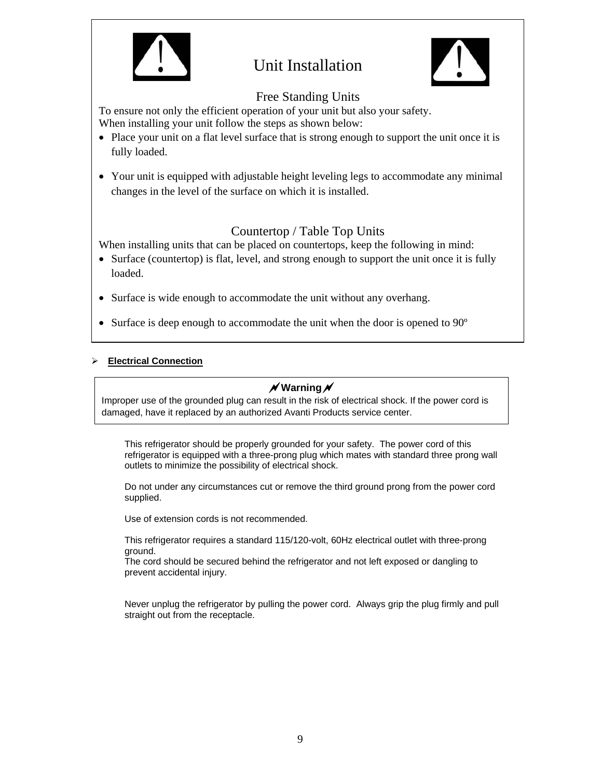

## Unit Installation



### Free Standing Units

To ensure not only the efficient operation of your unit but also your safety.

When installing your unit follow the steps as shown below:

- Place your unit on a flat level surface that is strong enough to support the unit once it is fully loaded.
- Your unit is equipped with adjustable height leveling legs to accommodate any minimal changes in the level of the surface on which it is installed.

### Countertop / Table Top Units

When installing units that can be placed on countertops, keep the following in mind:

- Surface (countertop) is flat, level, and strong enough to support the unit once it is fully loaded.
- Surface is wide enough to accommodate the unit without any overhang.
- Surface is deep enough to accommodate the unit when the door is opened to 90<sup>°</sup>

### **Electrical Connection**

### **Warning**

Improper use of the grounded plug can result in the risk of electrical shock. If the power cord is damaged, have it replaced by an authorized Avanti Products service center.

This refrigerator should be properly grounded for your safety. The power cord of this refrigerator is equipped with a three-prong plug which mates with standard three prong wall outlets to minimize the possibility of electrical shock.

Do not under any circumstances cut or remove the third ground prong from the power cord supplied.

Use of extension cords is not recommended.

This refrigerator requires a standard 115/120-volt, 60Hz electrical outlet with three-prong ground.

The cord should be secured behind the refrigerator and not left exposed or dangling to prevent accidental injury.

Never unplug the refrigerator by pulling the power cord. Always grip the plug firmly and pull straight out from the receptacle.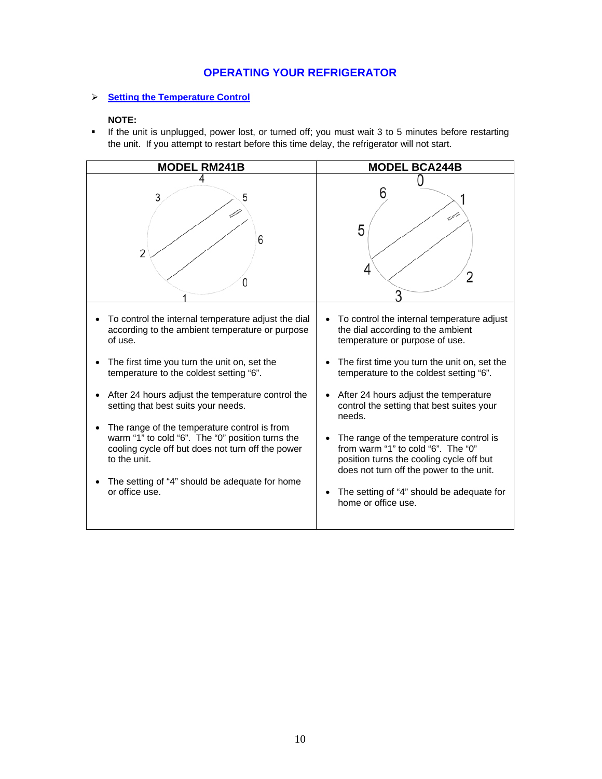### **OPERATING YOUR REFRIGERATOR**

**Setting the Temperature Control**

#### **NOTE:**

If the unit is unplugged, power lost, or turned off; you must wait 3 to 5 minutes before restarting the unit. If you attempt to restart before this time delay, the refrigerator will not start.

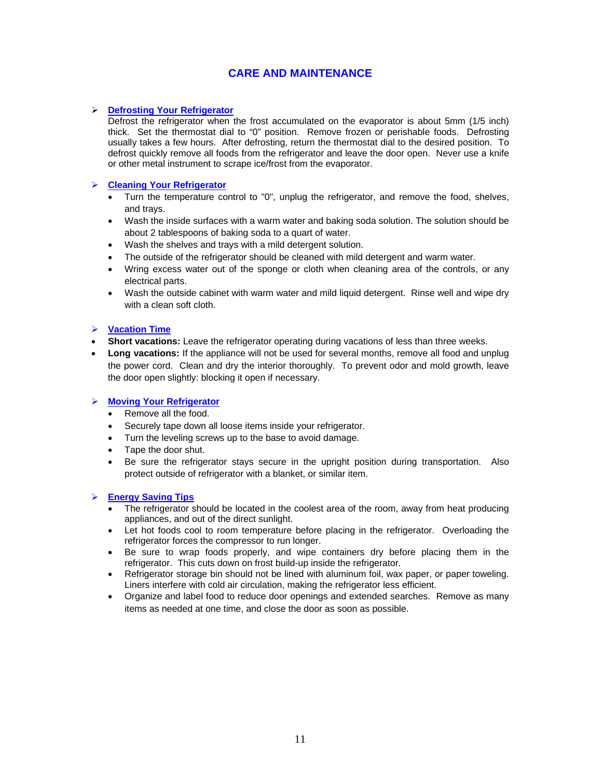### **CARE AND MAINTENANCE**

#### **Defrosting Your Refrigerator**

Defrost the refrigerator when the frost accumulated on the evaporator is about 5mm (1/5 inch) thick. Set the thermostat dial to "0" position. Remove frozen or perishable foods. Defrosting usually takes a few hours. After defrosting, return the thermostat dial to the desired position. To defrost quickly remove all foods from the refrigerator and leave the door open. Never use a knife or other metal instrument to scrape ice/frost from the evaporator.

#### **Cleaning Your Refrigerator**

- Turn the temperature control to "0", unplug the refrigerator, and remove the food, shelves, and trays.
- Wash the inside surfaces with a warm water and baking soda solution. The solution should be about 2 tablespoons of baking soda to a quart of water.
- Wash the shelves and trays with a mild detergent solution.
- The outside of the refrigerator should be cleaned with mild detergent and warm water.
- Wring excess water out of the sponge or cloth when cleaning area of the controls, or any electrical parts.
- Wash the outside cabinet with warm water and mild liquid detergent. Rinse well and wipe dry with a clean soft cloth.

#### **Vacation Time**

- **Short vacations:** Leave the refrigerator operating during vacations of less than three weeks.
- **Long vacations:** If the appliance will not be used for several months, remove all food and unplug the power cord. Clean and dry the interior thoroughly. To prevent odor and mold growth, leave the door open slightly: blocking it open if necessary.

#### **Moving Your Refrigerator**

- Remove all the food.
- Securely tape down all loose items inside your refrigerator.
- Turn the leveling screws up to the base to avoid damage.
- Tape the door shut.
- Be sure the refrigerator stays secure in the upright position during transportation. Also protect outside of refrigerator with a blanket, or similar item.

#### **Energy Saving Tips**

- The refrigerator should be located in the coolest area of the room, away from heat producing appliances, and out of the direct sunlight.
- Let hot foods cool to room temperature before placing in the refrigerator. Overloading the refrigerator forces the compressor to run longer.
- Be sure to wrap foods properly, and wipe containers dry before placing them in the refrigerator. This cuts down on frost build-up inside the refrigerator.
- Refrigerator storage bin should not be lined with aluminum foil, wax paper, or paper toweling. Liners interfere with cold air circulation, making the refrigerator less efficient.
- Organize and label food to reduce door openings and extended searches. Remove as many items as needed at one time, and close the door as soon as possible.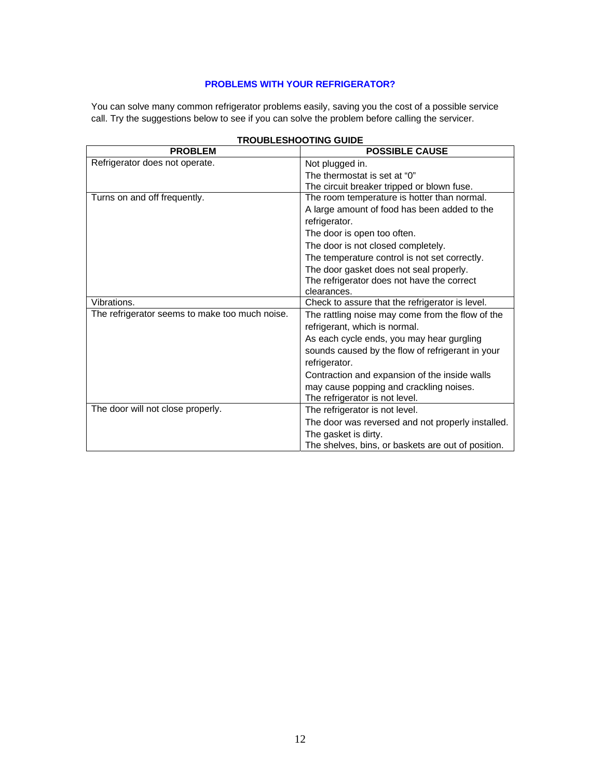#### **PROBLEMS WITH YOUR REFRIGERATOR?**

You can solve many common refrigerator problems easily, saving you the cost of a possible service call. Try the suggestions below to see if you can solve the problem before calling the servicer.

| <b>PROBLEM</b>                                 | <b>POSSIBLE CAUSE</b>                              |
|------------------------------------------------|----------------------------------------------------|
| Refrigerator does not operate.                 | Not plugged in.                                    |
|                                                | The thermostat is set at "0"                       |
|                                                | The circuit breaker tripped or blown fuse.         |
| Turns on and off frequently.                   | The room temperature is hotter than normal.        |
|                                                | A large amount of food has been added to the       |
|                                                | refrigerator.                                      |
|                                                | The door is open too often.                        |
|                                                | The door is not closed completely.                 |
|                                                | The temperature control is not set correctly.      |
|                                                | The door gasket does not seal properly.            |
|                                                | The refrigerator does not have the correct         |
|                                                | clearances.                                        |
| Vibrations.                                    | Check to assure that the refrigerator is level.    |
| The refrigerator seems to make too much noise. | The rattling noise may come from the flow of the   |
|                                                | refrigerant, which is normal.                      |
|                                                | As each cycle ends, you may hear gurgling          |
|                                                | sounds caused by the flow of refrigerant in your   |
|                                                | refrigerator.                                      |
|                                                | Contraction and expansion of the inside walls      |
|                                                | may cause popping and crackling noises.            |
|                                                | The refrigerator is not level.                     |
| The door will not close properly.              | The refrigerator is not level.                     |
|                                                | The door was reversed and not properly installed.  |
|                                                | The gasket is dirty.                               |
|                                                | The shelves, bins, or baskets are out of position. |

#### **TROUBLESHOOTING GUIDE**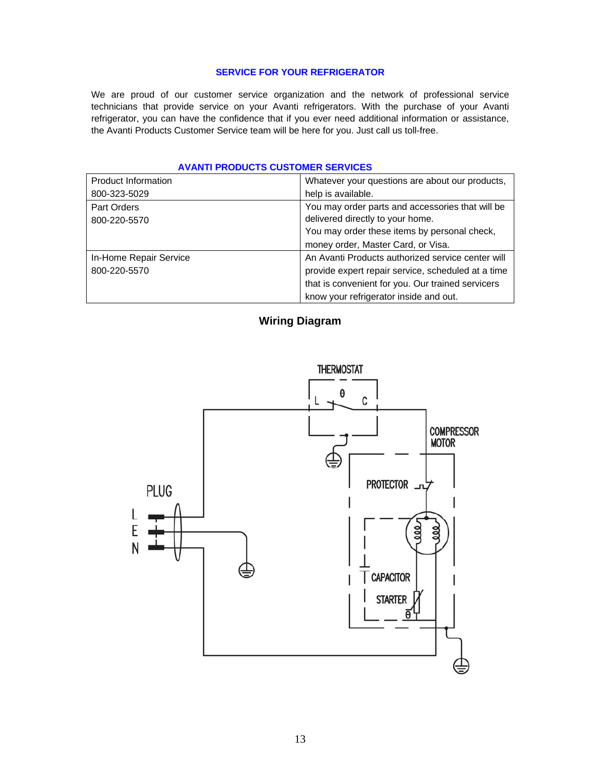### **SERVICE FOR YOUR REFRIGERATOR**

We are proud of our customer service organization and the network of professional service technicians that provide service on your Avanti refrigerators. With the purchase of your Avanti refrigerator, you can have the confidence that if you ever need additional information or assistance, the Avanti Products Customer Service team will be here for you. Just call us toll-free.

#### **AVANTI PRODUCTS CUSTOMER SERVICES**

| Product Information    | Whatever your questions are about our products,    |  |
|------------------------|----------------------------------------------------|--|
| 800-323-5029           | help is available.                                 |  |
| Part Orders            | You may order parts and accessories that will be   |  |
| 800-220-5570           | delivered directly to your home.                   |  |
|                        | You may order these items by personal check,       |  |
|                        | money order, Master Card, or Visa.                 |  |
| In-Home Repair Service | An Avanti Products authorized service center will  |  |
| 800-220-5570           | provide expert repair service, scheduled at a time |  |
|                        | that is convenient for you. Our trained servicers  |  |
|                        | know your refrigerator inside and out.             |  |

### **Wiring Diagram**

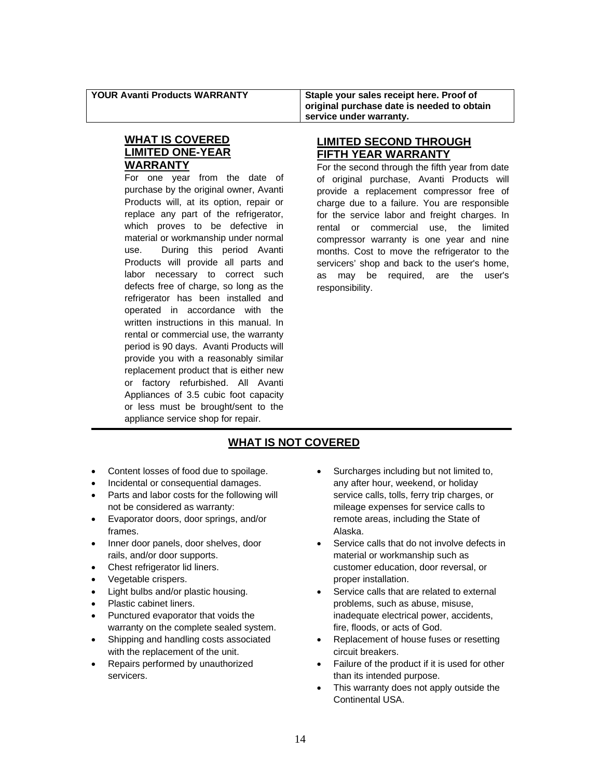YOUR Avanti Products WARRANTY **Staple your sales receipt here. Proof of original purchase date is needed to obtain service under warranty.** 

### **WHAT IS COVERED LIMITED ONE-YEAR WARRANTY**

For one year from the date of purchase by the original owner, Avanti Products will, at its option, repair or replace any part of the refrigerator, which proves to be defective in material or workmanship under normal use. During this period Avanti Products will provide all parts and labor necessary to correct such defects free of charge, so long as the refrigerator has been installed and operated in accordance with the written instructions in this manual. In rental or commercial use, the warranty period is 90 days. Avanti Products will provide you with a reasonably similar replacement product that is either new or factory refurbished. All Avanti Appliances of 3.5 cubic foot capacity or less must be brought/sent to the appliance service shop for repair.

### **LIMITED SECOND THROUGH FIFTH YEAR WARRANTY**

For the second through the fifth year from date of original purchase, Avanti Products will provide a replacement compressor free of charge due to a failure. You are responsible for the service labor and freight charges. In rental or commercial use, the limited compressor warranty is one year and nine months. Cost to move the refrigerator to the servicers' shop and back to the user's home, as may be required, are the user's responsibility.

### **WHAT IS NOT COVERED**

- Content losses of food due to spoilage.
- Incidental or consequential damages.
- Parts and labor costs for the following will not be considered as warranty:
- Evaporator doors, door springs, and/or frames.
- Inner door panels, door shelves, door rails, and/or door supports.
- Chest refrigerator lid liners.
- Vegetable crispers.
- Light bulbs and/or plastic housing.
- Plastic cabinet liners.
- Punctured evaporator that voids the warranty on the complete sealed system.
- Shipping and handling costs associated with the replacement of the unit.
- Repairs performed by unauthorized servicers.
- Surcharges including but not limited to, any after hour, weekend, or holiday service calls, tolls, ferry trip charges, or mileage expenses for service calls to remote areas, including the State of Alaska.
- Service calls that do not involve defects in material or workmanship such as customer education, door reversal, or proper installation.
- Service calls that are related to external problems, such as abuse, misuse, inadequate electrical power, accidents, fire, floods, or acts of God.
- Replacement of house fuses or resetting circuit breakers.
- Failure of the product if it is used for other than its intended purpose.
- This warranty does not apply outside the Continental USA.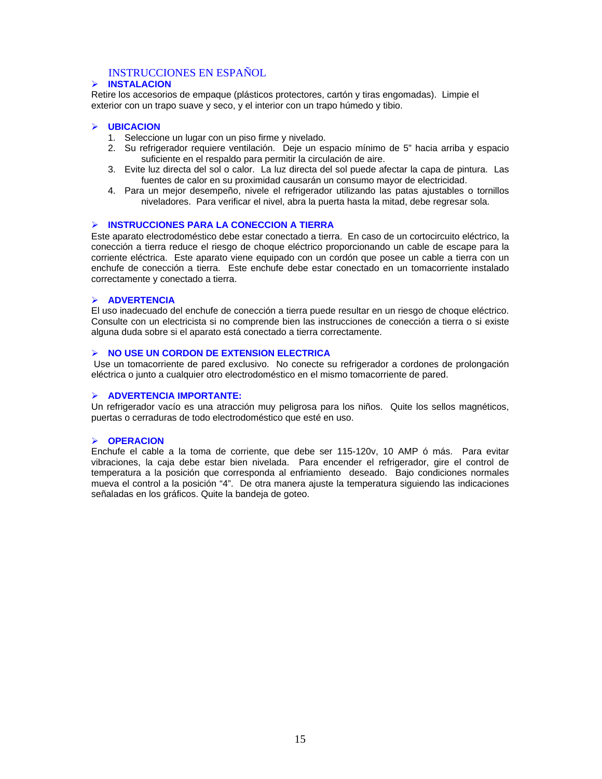### INSTRUCCIONES EN ESPAÑOL

### **INSTALACION**

Retire los accesorios de empaque (plásticos protectores, cartón y tiras engomadas). Limpie el exterior con un trapo suave y seco, y el interior con un trapo húmedo y tibio.

#### **UBICACION**

- 1. Seleccione un lugar con un piso firme y nivelado.
- 2. Su refrigerador requiere ventilación. Deje un espacio mínimo de 5" hacia arriba y espacio suficiente en el respaldo para permitir la circulación de aire.
- 3. Evite luz directa del sol o calor. La luz directa del sol puede afectar la capa de pintura. Las fuentes de calor en su proximidad causarán un consumo mayor de electricidad.
- 4. Para un mejor desempeño, nivele el refrigerador utilizando las patas ajustables o tornillos niveladores. Para verificar el nivel, abra la puerta hasta la mitad, debe regresar sola.

#### **INSTRUCCIONES PARA LA CONECCION A TIERRA**

Este aparato electrodoméstico debe estar conectado a tierra. En caso de un cortocircuito eléctrico, la conección a tierra reduce el riesgo de choque eléctrico proporcionando un cable de escape para la corriente eléctrica. Este aparato viene equipado con un cordón que posee un cable a tierra con un enchufe de conección a tierra. Este enchufe debe estar conectado en un tomacorriente instalado correctamente y conectado a tierra.

#### **ADVERTENCIA**

El uso inadecuado del enchufe de conección a tierra puede resultar en un riesgo de choque eléctrico. Consulte con un electricista si no comprende bien las instrucciones de conección a tierra o si existe alguna duda sobre si el aparato está conectado a tierra correctamente.

#### **NO USE UN CORDON DE EXTENSION ELECTRICA**

 Use un tomacorriente de pared exclusivo. No conecte su refrigerador a cordones de prolongación eléctrica o junto a cualquier otro electrodoméstico en el mismo tomacorriente de pared.

#### **ADVERTENCIA IMPORTANTE:**

Un refrigerador vacío es una atracción muy peligrosa para los niños. Quite los sellos magnéticos, puertas o cerraduras de todo electrodoméstico que esté en uso.

#### **OPERACION**

Enchufe el cable a la toma de corriente, que debe ser 115-120v, 10 AMP ó más. Para evitar vibraciones, la caja debe estar bien nivelada. Para encender el refrigerador, gire el control de temperatura a la posición que corresponda al enfriamiento deseado. Bajo condiciones normales mueva el control a la posición "4". De otra manera ajuste la temperatura siguiendo las indicaciones señaladas en los gráficos. Quite la bandeja de goteo.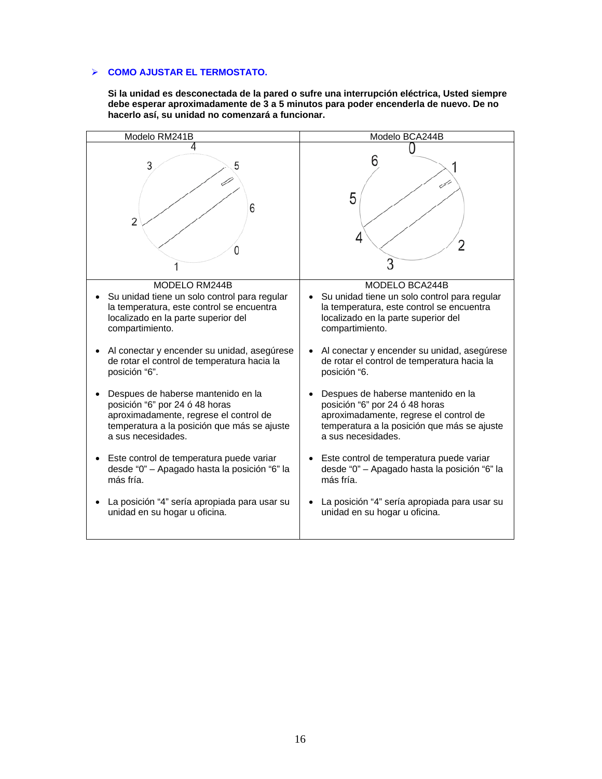#### **COMO AJUSTAR EL TERMOSTATO.**

**Si la unidad es desconectada de la pared o sufre una interrupción eléctrica, Usted siempre debe esperar aproximadamente de 3 a 5 minutos para poder encenderla de nuevo. De no hacerlo así, su unidad no comenzará a funcionar.** 

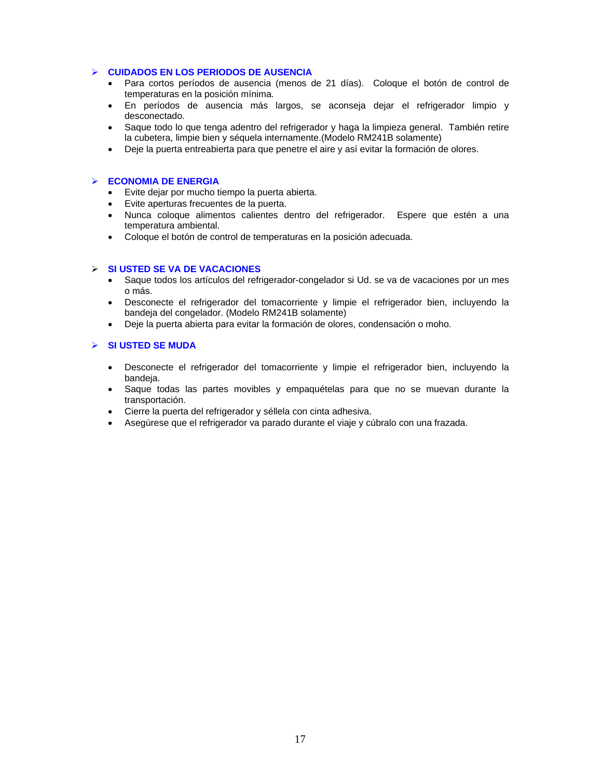#### **CUIDADOS EN LOS PERIODOS DE AUSENCIA**

- Para cortos períodos de ausencia (menos de 21 días). Coloque el botón de control de temperaturas en la posición mínima.
- En períodos de ausencia más largos, se aconseja dejar el refrigerador limpio y desconectado.
- Saque todo lo que tenga adentro del refrigerador y haga la limpieza general. También retire la cubetera, limpie bien y séquela internamente.(Modelo RM241B solamente)
- Deje la puerta entreabierta para que penetre el aire y así evitar la formación de olores.

#### **ECONOMIA DE ENERGIA**

- Evite dejar por mucho tiempo la puerta abierta.
- Evite aperturas frecuentes de la puerta.
- Nunca coloque alimentos calientes dentro del refrigerador. Espere que estén a una temperatura ambiental.
- Coloque el botón de control de temperaturas en la posición adecuada.

#### **SI USTED SE VA DE VACACIONES**

- Saque todos los artículos del refrigerador-congelador si Ud. se va de vacaciones por un mes o más.
- Desconecte el refrigerador del tomacorriente y limpie el refrigerador bien, incluyendo la bandeja del congelador. (Modelo RM241B solamente)
- Deje la puerta abierta para evitar la formación de olores, condensación o moho.

#### **SI USTED SE MUDA**

- Desconecte el refrigerador del tomacorriente y limpie el refrigerador bien, incluyendo la bandeja.
- Saque todas las partes movibles y empaquételas para que no se muevan durante la transportación.
- Cierre la puerta del refrigerador y séllela con cinta adhesiva.
- Asegúrese que el refrigerador va parado durante el viaje y cúbralo con una frazada.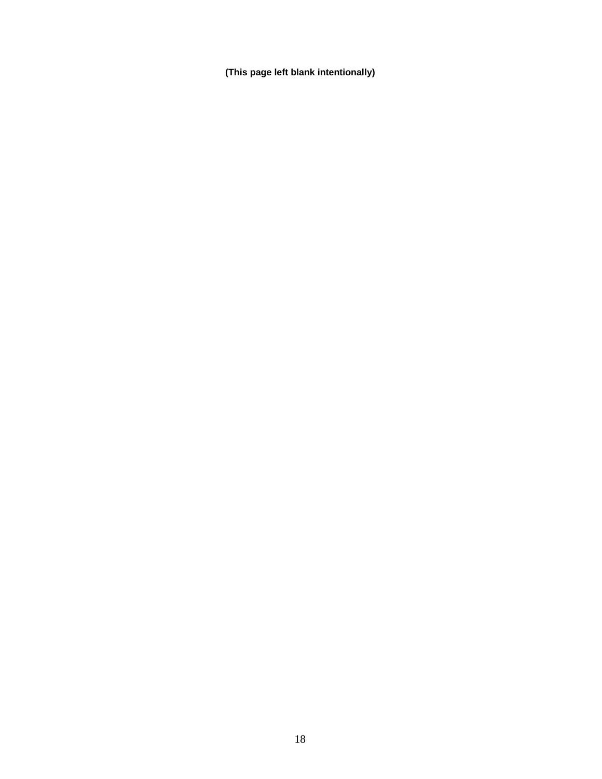**(This page left blank intentionally)**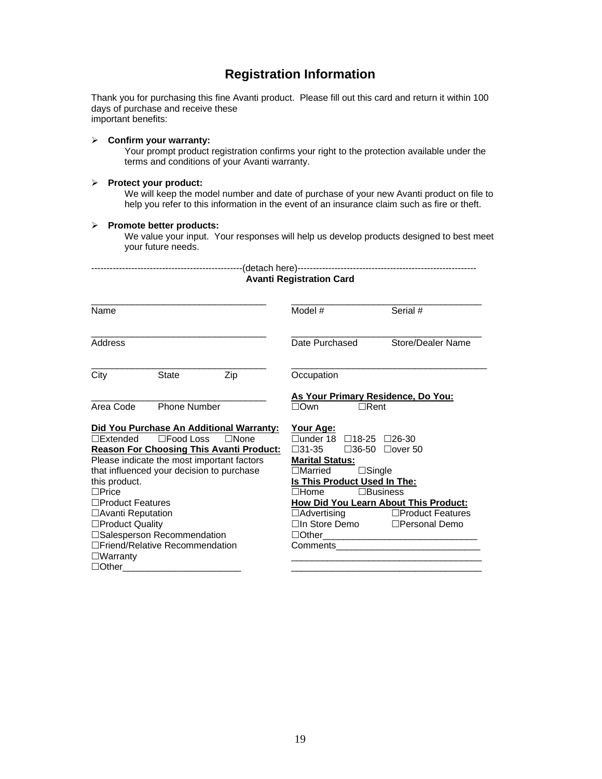### **Registration Information**

Thank you for purchasing this fine Avanti product. Please fill out this card and return it within 100 days of purchase and receive these important benefits:

 **Confirm your warranty:** Your prompt product registration confirms your right to the protection available under the terms and conditions of your Avanti warranty.

**Protect your product:**

We will keep the model number and date of purchase of your new Avanti product on file to help you refer to this information in the event of an insurance claim such as fire or theft.

#### **Promote better products:**

We value your input. Your responses will help us develop products designed to best meet your future needs.

|                                 |                                           |                                                 | <b>Avanti Registration Card</b>              |                                |
|---------------------------------|-------------------------------------------|-------------------------------------------------|----------------------------------------------|--------------------------------|
|                                 |                                           |                                                 |                                              |                                |
| Name                            |                                           |                                                 | Model #                                      | Serial #                       |
| Address                         |                                           |                                                 | Date Purchased                               | Store/Dealer Name              |
| City                            | <b>State</b>                              | Zip                                             | Occupation                                   |                                |
|                                 |                                           | As Your Primary Residence, Do You:              |                                              |                                |
| Area Code                       | <b>Phone Number</b>                       |                                                 | ⊟Own<br>$\Box$ Rent                          |                                |
|                                 |                                           | Did You Purchase An Additional Warranty:        | Your Age:                                    |                                |
| $\square$ Extended              | $\square$ Food Loss                       | $\Box$ None                                     | □under 18 □18-25 □26-30                      |                                |
|                                 |                                           | <b>Reason For Choosing This Avanti Product:</b> | □31-35                                       | $\Box$ 36-50 $\Box$ over 50    |
|                                 |                                           | Please indicate the most important factors      | <b>Marital Status:</b>                       |                                |
|                                 | that influenced your decision to purchase |                                                 | $\Box$ Married                               | $\square$ Single               |
| this product.                   |                                           | Is This Product Used In The:                    |                                              |                                |
| $\Box$ Price                    |                                           | ⊟Home                                           | $\Box$ Business                              |                                |
| $\square$ Product Features      |                                           |                                                 | <b>How Did You Learn About This Product:</b> |                                |
| □ Avanti Reputation             |                                           |                                                 |                                              | □Advertising □Product Features |
| □Product Quality                |                                           |                                                 |                                              | □In Store Demo □Personal Demo  |
| □Salesperson Recommendation     |                                           |                                                 |                                              |                                |
| □Friend/Relative Recommendation |                                           |                                                 |                                              |                                |
| $\square$ Warranty              |                                           |                                                 |                                              |                                |
| $\Box$ Other                    |                                           |                                                 |                                              |                                |